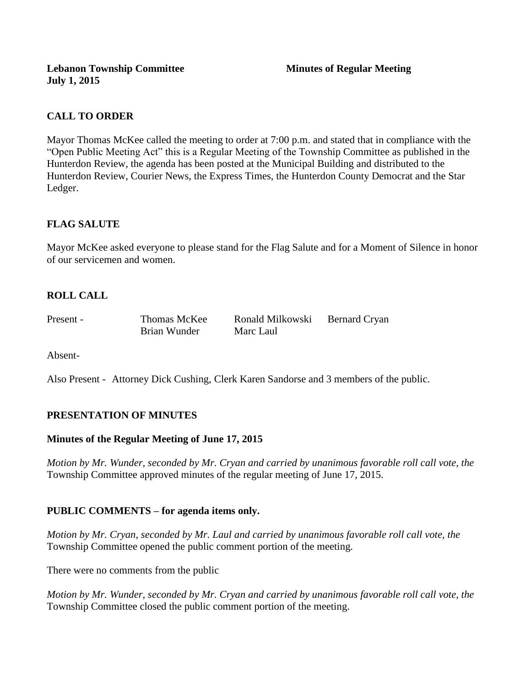# **CALL TO ORDER**

Mayor Thomas McKee called the meeting to order at 7:00 p.m. and stated that in compliance with the "Open Public Meeting Act" this is a Regular Meeting of the Township Committee as published in the Hunterdon Review, the agenda has been posted at the Municipal Building and distributed to the Hunterdon Review, Courier News, the Express Times, the Hunterdon County Democrat and the Star Ledger.

## **FLAG SALUTE**

Mayor McKee asked everyone to please stand for the Flag Salute and for a Moment of Silence in honor of our servicemen and women.

# **ROLL CALL**

| Present - | Thomas McKee | Ronald Milkowski | Bernard Cryan |
|-----------|--------------|------------------|---------------|
|           | Brian Wunder | Marc Laul        |               |

Absent-

Also Present - Attorney Dick Cushing, Clerk Karen Sandorse and 3 members of the public.

## **PRESENTATION OF MINUTES**

#### **Minutes of the Regular Meeting of June 17, 2015**

*Motion by Mr. Wunder, seconded by Mr. Cryan and carried by unanimous favorable roll call vote, the*  Township Committee approved minutes of the regular meeting of June 17, 2015.

#### **PUBLIC COMMENTS – for agenda items only.**

*Motion by Mr. Cryan, seconded by Mr. Laul and carried by unanimous favorable roll call vote, the* Township Committee opened the public comment portion of the meeting.

There were no comments from the public

*Motion by Mr. Wunder, seconded by Mr. Cryan and carried by unanimous favorable roll call vote, the* Township Committee closed the public comment portion of the meeting.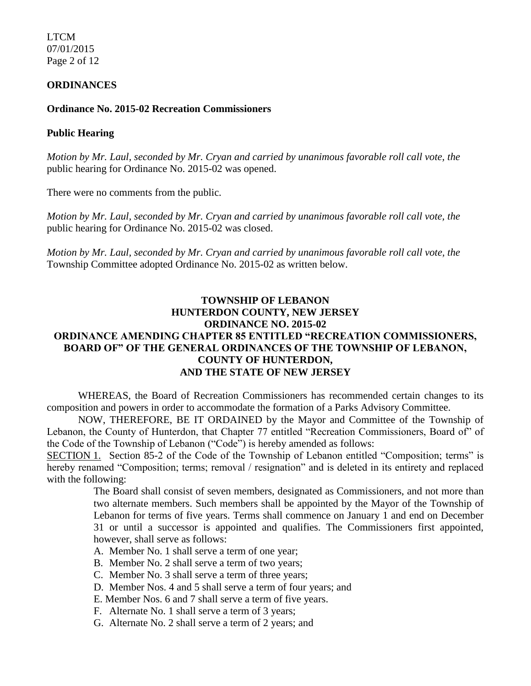LTCM 07/01/2015 Page 2 of 12

#### **ORDINANCES**

#### **Ordinance No. 2015-02 Recreation Commissioners**

#### **Public Hearing**

*Motion by Mr. Laul, seconded by Mr. Cryan and carried by unanimous favorable roll call vote, the* public hearing for Ordinance No. 2015-02 was opened.

There were no comments from the public*.*

*Motion by Mr. Laul, seconded by Mr. Cryan and carried by unanimous favorable roll call vote, the* public hearing for Ordinance No. 2015-02 was closed.

*Motion by Mr. Laul, seconded by Mr. Cryan and carried by unanimous favorable roll call vote, the* Township Committee adopted Ordinance No. 2015-02 as written below.

## **TOWNSHIP OF LEBANON HUNTERDON COUNTY, NEW JERSEY ORDINANCE NO. 2015-02 ORDINANCE AMENDING CHAPTER 85 ENTITLED "RECREATION COMMISSIONERS, BOARD OF" OF THE GENERAL ORDINANCES OF THE TOWNSHIP OF LEBANON, COUNTY OF HUNTERDON, AND THE STATE OF NEW JERSEY**

WHEREAS, the Board of Recreation Commissioners has recommended certain changes to its composition and powers in order to accommodate the formation of a Parks Advisory Committee.

NOW, THEREFORE, BE IT ORDAINED by the Mayor and Committee of the Township of Lebanon, the County of Hunterdon, that Chapter 77 entitled "Recreation Commissioners, Board of" of the Code of the Township of Lebanon ("Code") is hereby amended as follows:

SECTION 1. Section 85-2 of the Code of the Township of Lebanon entitled "Composition; terms" is hereby renamed "Composition; terms; removal / resignation" and is deleted in its entirety and replaced with the following:

> The Board shall consist of seven members, designated as Commissioners, and not more than two alternate members. Such members shall be appointed by the Mayor of the Township of Lebanon for terms of five years. Terms shall commence on January 1 and end on December 31 or until a successor is appointed and qualifies. The Commissioners first appointed, however, shall serve as follows:

- A. Member No. 1 shall serve a term of one year;
- B. Member No. 2 shall serve a term of two years;
- C. Member No. 3 shall serve a term of three years;
- D. Member Nos. 4 and 5 shall serve a term of four years; and
- E. Member Nos. 6 and 7 shall serve a term of five years.
- F. Alternate No. 1 shall serve a term of 3 years;
- G. Alternate No. 2 shall serve a term of 2 years; and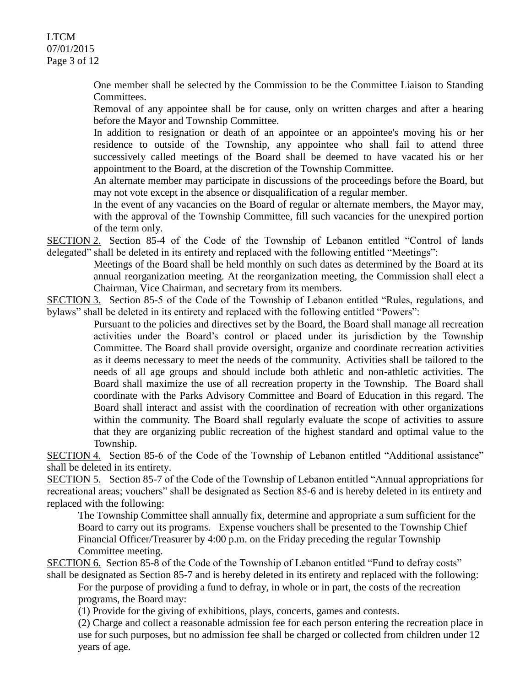LTCM 07/01/2015 Page 3 of 12

> One member shall be selected by the Commission to be the Committee Liaison to Standing Committees.

> Removal of any appointee shall be for cause, only on written charges and after a hearing before the Mayor and Township Committee.

> In addition to resignation or death of an appointee or an appointee's moving his or her residence to outside of the Township, any appointee who shall fail to attend three successively called meetings of the Board shall be deemed to have vacated his or her appointment to the Board, at the discretion of the Township Committee.

> An alternate member may participate in discussions of the proceedings before the Board, but may not vote except in the absence or disqualification of a regular member.

> In the event of any vacancies on the Board of regular or alternate members, the Mayor may, with the approval of the Township Committee, fill such vacancies for the unexpired portion of the term only.

SECTION 2. Section 85-4 of the Code of the Township of Lebanon entitled "Control of lands delegated" shall be deleted in its entirety and replaced with the following entitled "Meetings":

Meetings of the Board shall be held monthly on such dates as determined by the Board at its annual reorganization meeting. At the reorganization meeting, the Commission shall elect a Chairman, Vice Chairman, and secretary from its members.

SECTION 3. Section 85-5 of the Code of the Township of Lebanon entitled "Rules, regulations, and bylaws" shall be deleted in its entirety and replaced with the following entitled "Powers":

Pursuant to the policies and directives set by the Board, the Board shall manage all recreation activities under the Board's control or placed under its jurisdiction by the Township Committee. The Board shall provide oversight, organize and coordinate recreation activities as it deems necessary to meet the needs of the community. Activities shall be tailored to the needs of all age groups and should include both athletic and non-athletic activities. The Board shall maximize the use of all recreation property in the Township. The Board shall coordinate with the Parks Advisory Committee and Board of Education in this regard. The Board shall interact and assist with the coordination of recreation with other organizations within the community. The Board shall regularly evaluate the scope of activities to assure that they are organizing public recreation of the highest standard and optimal value to the Township.

SECTION 4. Section 85-6 of the Code of the Township of Lebanon entitled "Additional assistance" shall be deleted in its entirety.

SECTION 5. Section 85-7 of the Code of the Township of Lebanon entitled "Annual appropriations for recreational areas; vouchers" shall be designated as Section 85-6 and is hereby deleted in its entirety and replaced with the following:

The Township Committee shall annually fix, determine and appropriate a sum sufficient for the Board to carry out its programs*.* Expense vouchers shall be presented to the Township Chief Financial Officer/Treasurer by 4:00 p.m. on the Friday preceding the regular Township Committee meeting.

SECTION 6. Section 85-8 of the Code of the Township of Lebanon entitled "Fund to defray costs" shall be designated as Section 85-7 and is hereby deleted in its entirety and replaced with the following:

For the purpose of providing a fund to defray, in whole or in part, the costs of the recreation programs, the Board may:

(1) Provide for the giving of exhibitions, plays, concerts, games and contests.

(2) Charge and collect a reasonable admission fee for each person entering the recreation place in use for such purposes, but no admission fee shall be charged or collected from children under 12 years of age.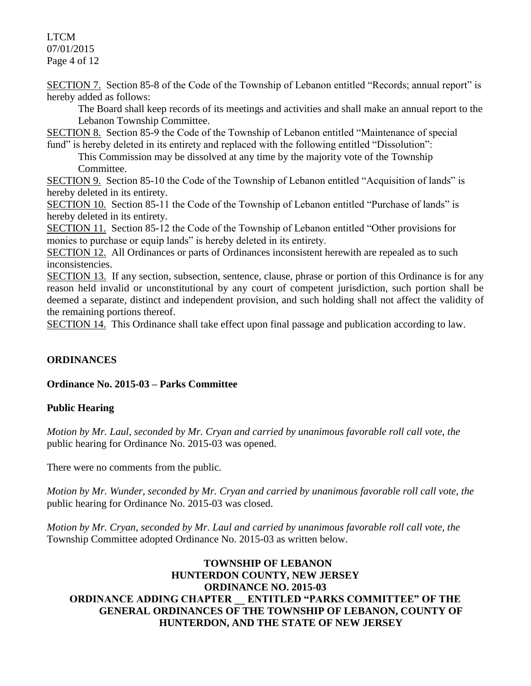# LTCM 07/01/2015

Page 4 of 12

SECTION 7. Section 85-8 of the Code of the Township of Lebanon entitled "Records; annual report" is hereby added as follows:

The Board shall keep records of its meetings and activities and shall make an annual report to the Lebanon Township Committee.

SECTION 8. Section 85-9 the Code of the Township of Lebanon entitled "Maintenance of special fund" is hereby deleted in its entirety and replaced with the following entitled "Dissolution":

This Commission may be dissolved at any time by the majority vote of the Township Committee.

SECTION 9. Section 85-10 the Code of the Township of Lebanon entitled "Acquisition of lands" is hereby deleted in its entirety.

SECTION 10. Section 85-11 the Code of the Township of Lebanon entitled "Purchase of lands" is hereby deleted in its entirety.

SECTION 11. Section 85-12 the Code of the Township of Lebanon entitled "Other provisions for monies to purchase or equip lands" is hereby deleted in its entirety.

SECTION 12. All Ordinances or parts of Ordinances inconsistent herewith are repealed as to such inconsistencies.

SECTION 13. If any section, subsection, sentence, clause, phrase or portion of this Ordinance is for any reason held invalid or unconstitutional by any court of competent jurisdiction, such portion shall be deemed a separate, distinct and independent provision, and such holding shall not affect the validity of the remaining portions thereof.

SECTION 14. This Ordinance shall take effect upon final passage and publication according to law.

# **ORDINANCES**

## **Ordinance No. 2015-03** *–* **Parks Committee**

## **Public Hearing**

*Motion by Mr. Laul, seconded by Mr. Cryan and carried by unanimous favorable roll call vote, the* public hearing for Ordinance No. 2015-03 was opened.

There were no comments from the public*.*

*Motion by Mr. Wunder, seconded by Mr. Cryan and carried by unanimous favorable roll call vote, the* public hearing for Ordinance No. 2015-03 was closed.

*Motion by Mr. Cryan, seconded by Mr. Laul and carried by unanimous favorable roll call vote, the* Township Committee adopted Ordinance No. 2015-03 as written below.

## **TOWNSHIP OF LEBANON HUNTERDON COUNTY, NEW JERSEY ORDINANCE NO. 2015-03 ORDINANCE ADDING CHAPTER \_\_ ENTITLED "PARKS COMMITTEE" OF THE GENERAL ORDINANCES OF THE TOWNSHIP OF LEBANON, COUNTY OF HUNTERDON, AND THE STATE OF NEW JERSEY**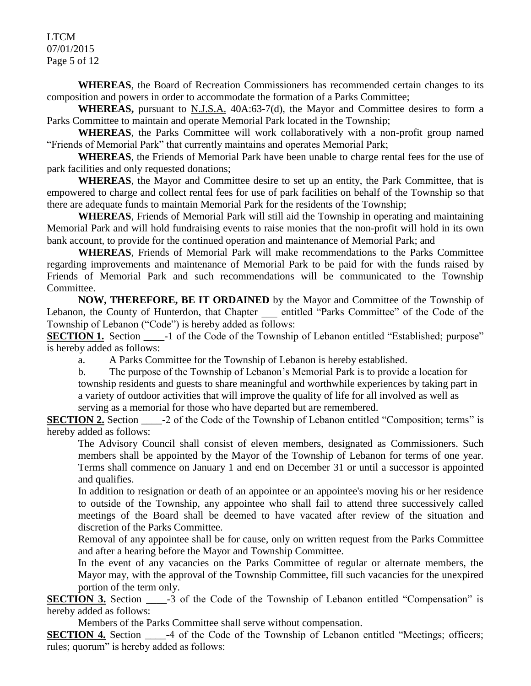LTCM 07/01/2015 Page 5 of 12

**WHEREAS**, the Board of Recreation Commissioners has recommended certain changes to its composition and powers in order to accommodate the formation of a Parks Committee;

**WHEREAS,** pursuant to N.J.S.A. 40A:63-7(d), the Mayor and Committee desires to form a Parks Committee to maintain and operate Memorial Park located in the Township;

**WHEREAS**, the Parks Committee will work collaboratively with a non-profit group named "Friends of Memorial Park" that currently maintains and operates Memorial Park;

**WHEREAS**, the Friends of Memorial Park have been unable to charge rental fees for the use of park facilities and only requested donations;

**WHEREAS**, the Mayor and Committee desire to set up an entity, the Park Committee, that is empowered to charge and collect rental fees for use of park facilities on behalf of the Township so that there are adequate funds to maintain Memorial Park for the residents of the Township;

**WHEREAS**, Friends of Memorial Park will still aid the Township in operating and maintaining Memorial Park and will hold fundraising events to raise monies that the non-profit will hold in its own bank account, to provide for the continued operation and maintenance of Memorial Park; and

**WHEREAS**, Friends of Memorial Park will make recommendations to the Parks Committee regarding improvements and maintenance of Memorial Park to be paid for with the funds raised by Friends of Memorial Park and such recommendations will be communicated to the Township Committee.

**NOW, THEREFORE, BE IT ORDAINED** by the Mayor and Committee of the Township of Lebanon, the County of Hunterdon, that Chapter entitled "Parks Committee" of the Code of the Township of Lebanon ("Code") is hereby added as follows:

**SECTION 1.** Section \_\_\_\_\_-1 of the Code of the Township of Lebanon entitled "Established; purpose" is hereby added as follows:

a. A Parks Committee for the Township of Lebanon is hereby established.

b. The purpose of the Township of Lebanon's Memorial Park is to provide a location for township residents and guests to share meaningful and worthwhile experiences by taking part in a variety of outdoor activities that will improve the quality of life for all involved as well as serving as a memorial for those who have departed but are remembered.

**SECTION 2.** Section  $\qquad$  -2 of the Code of the Township of Lebanon entitled "Composition; terms" is hereby added as follows:

The Advisory Council shall consist of eleven members, designated as Commissioners. Such members shall be appointed by the Mayor of the Township of Lebanon for terms of one year. Terms shall commence on January 1 and end on December 31 or until a successor is appointed and qualifies.

In addition to resignation or death of an appointee or an appointee's moving his or her residence to outside of the Township, any appointee who shall fail to attend three successively called meetings of the Board shall be deemed to have vacated after review of the situation and discretion of the Parks Committee.

Removal of any appointee shall be for cause, only on written request from the Parks Committee and after a hearing before the Mayor and Township Committee.

In the event of any vacancies on the Parks Committee of regular or alternate members, the Mayor may, with the approval of the Township Committee, fill such vacancies for the unexpired portion of the term only.

**SECTION 3.** Section \_\_\_\_\_-3 of the Code of the Township of Lebanon entitled "Compensation" is hereby added as follows:

Members of the Parks Committee shall serve without compensation.

**SECTION 4.** Section \_\_\_\_\_-4 of the Code of the Township of Lebanon entitled "Meetings; officers; rules; quorum" is hereby added as follows: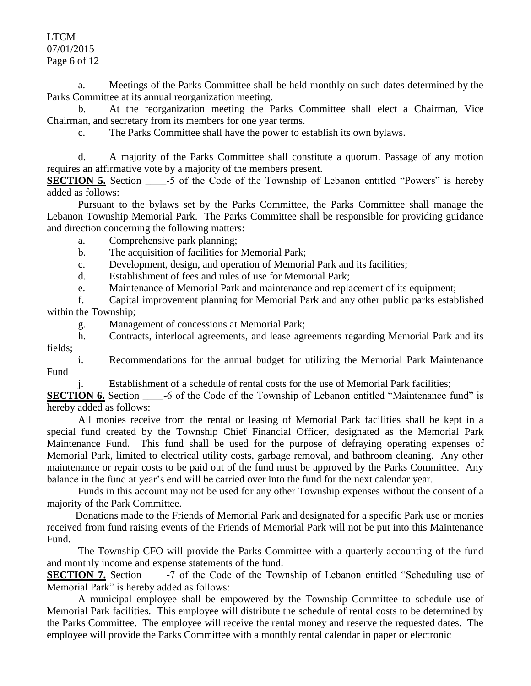LTCM 07/01/2015 Page 6 of 12

a. Meetings of the Parks Committee shall be held monthly on such dates determined by the Parks Committee at its annual reorganization meeting.

b. At the reorganization meeting the Parks Committee shall elect a Chairman, Vice Chairman, and secretary from its members for one year terms.

c. The Parks Committee shall have the power to establish its own bylaws.

d. A majority of the Parks Committee shall constitute a quorum. Passage of any motion requires an affirmative vote by a majority of the members present.

**SECTION 5.** Section \_\_\_\_\_-5 of the Code of the Township of Lebanon entitled "Powers" is hereby added as follows:

Pursuant to the bylaws set by the Parks Committee, the Parks Committee shall manage the Lebanon Township Memorial Park. The Parks Committee shall be responsible for providing guidance and direction concerning the following matters:

a. Comprehensive park planning;

b. The acquisition of facilities for Memorial Park;

c. Development, design, and operation of Memorial Park and its facilities;

d. Establishment of fees and rules of use for Memorial Park;

e. Maintenance of Memorial Park and maintenance and replacement of its equipment;

f. Capital improvement planning for Memorial Park and any other public parks established within the Township;

g. Management of concessions at Memorial Park;

h. Contracts, interlocal agreements, and lease agreements regarding Memorial Park and its fields;

i. Recommendations for the annual budget for utilizing the Memorial Park Maintenance Fund

j. Establishment of a schedule of rental costs for the use of Memorial Park facilities;

**SECTION 6.** Section \_\_\_\_\_-6 of the Code of the Township of Lebanon entitled "Maintenance fund" is hereby added as follows:

All monies receive from the rental or leasing of Memorial Park facilities shall be kept in a special fund created by the Township Chief Financial Officer, designated as the Memorial Park Maintenance Fund. This fund shall be used for the purpose of defraying operating expenses of Memorial Park, limited to electrical utility costs, garbage removal, and bathroom cleaning. Any other maintenance or repair costs to be paid out of the fund must be approved by the Parks Committee. Any balance in the fund at year's end will be carried over into the fund for the next calendar year.

 Funds in this account may not be used for any other Township expenses without the consent of a majority of the Park Committee.

 Donations made to the Friends of Memorial Park and designated for a specific Park use or monies received from fund raising events of the Friends of Memorial Park will not be put into this Maintenance Fund.

The Township CFO will provide the Parks Committee with a quarterly accounting of the fund and monthly income and expense statements of the fund.

**SECTION 7.** Section \_\_\_\_\_-7 of the Code of the Township of Lebanon entitled "Scheduling use of Memorial Park" is hereby added as follows:

A municipal employee shall be empowered by the Township Committee to schedule use of Memorial Park facilities. This employee will distribute the schedule of rental costs to be determined by the Parks Committee. The employee will receive the rental money and reserve the requested dates. The employee will provide the Parks Committee with a monthly rental calendar in paper or electronic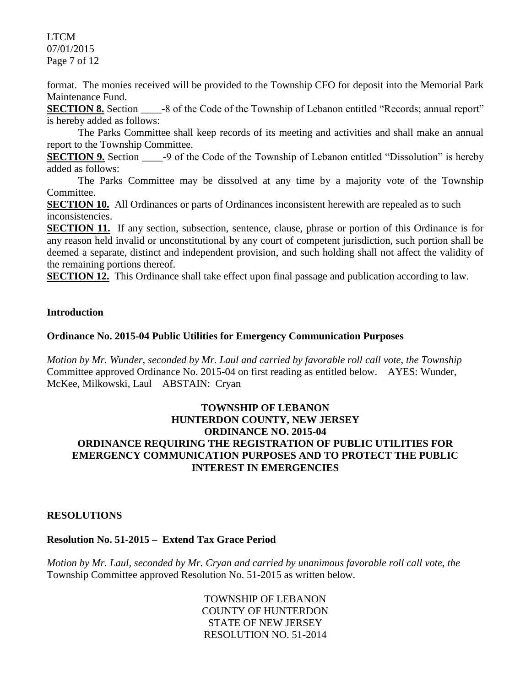LTCM 07/01/2015 Page 7 of 12

format. The monies received will be provided to the Township CFO for deposit into the Memorial Park Maintenance Fund.

**SECTION 8.** Section -8 of the Code of the Township of Lebanon entitled "Records; annual report" is hereby added as follows:

The Parks Committee shall keep records of its meeting and activities and shall make an annual report to the Township Committee.

**SECTION 9.** Section \_\_\_\_\_-9 of the Code of the Township of Lebanon entitled "Dissolution" is hereby added as follows:

The Parks Committee may be dissolved at any time by a majority vote of the Township Committee.

**SECTION 10.** All Ordinances or parts of Ordinances inconsistent herewith are repealed as to such inconsistencies.

**SECTION 11.** If any section, subsection, sentence, clause, phrase or portion of this Ordinance is for any reason held invalid or unconstitutional by any court of competent jurisdiction, such portion shall be deemed a separate, distinct and independent provision, and such holding shall not affect the validity of the remaining portions thereof.

**SECTION 12.** This Ordinance shall take effect upon final passage and publication according to law.

#### **Introduction**

#### **Ordinance No. 2015-04 Public Utilities for Emergency Communication Purposes**

*Motion by Mr. Wunder, seconded by Mr. Laul and carried by favorable roll call vote*, *the Township* Committee approved Ordinance No. 2015-04 on first reading as entitled below. AYES: Wunder, McKee, Milkowski, Laul ABSTAIN: Cryan

#### **TOWNSHIP OF LEBANON HUNTERDON COUNTY, NEW JERSEY ORDINANCE NO. 2015-04 ORDINANCE REQUIRING THE REGISTRATION OF PUBLIC UTILITIES FOR EMERGENCY COMMUNICATION PURPOSES AND TO PROTECT THE PUBLIC INTEREST IN EMERGENCIES**

#### **RESOLUTIONS**

#### **Resolution No. 51-2015 – Extend Tax Grace Period**

*Motion by Mr. Laul, seconded by Mr. Cryan and carried by unanimous favorable roll call vote*, *the* Township Committee approved Resolution No. 51-2015 as written below.

> TOWNSHIP OF LEBANON COUNTY OF HUNTERDON STATE OF NEW JERSEY RESOLUTION NO. 51-2014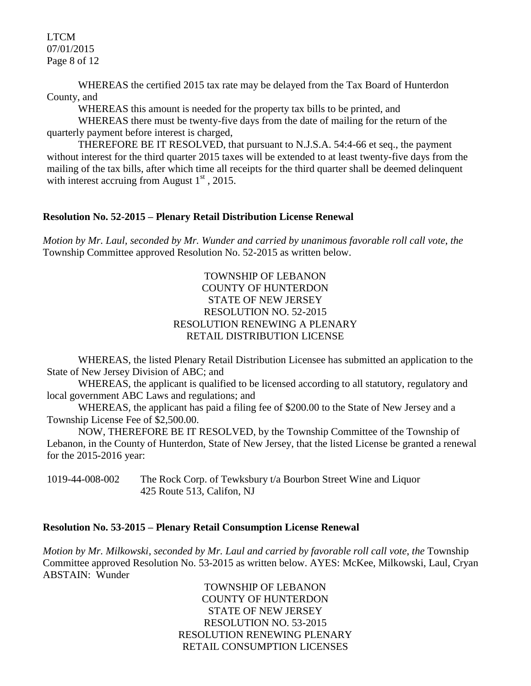LTCM 07/01/2015 Page 8 of 12

WHEREAS the certified 2015 tax rate may be delayed from the Tax Board of Hunterdon County, and

WHEREAS this amount is needed for the property tax bills to be printed, and

WHEREAS there must be twenty-five days from the date of mailing for the return of the quarterly payment before interest is charged,

THEREFORE BE IT RESOLVED, that pursuant to N.J.S.A. 54:4-66 et seq., the payment without interest for the third quarter 2015 taxes will be extended to at least twenty-five days from the mailing of the tax bills, after which time all receipts for the third quarter shall be deemed delinquent with interest accruing from August  $1<sup>st</sup>$ , 2015.

#### **Resolution No. 52-2015 – Plenary Retail Distribution License Renewal**

*Motion by Mr. Laul, seconded by Mr. Wunder and carried by unanimous favorable roll call vote*, *the* Township Committee approved Resolution No. 52-2015 as written below.

#### TOWNSHIP OF LEBANON COUNTY OF HUNTERDON STATE OF NEW JERSEY RESOLUTION NO. 52-2015 RESOLUTION RENEWING A PLENARY RETAIL DISTRIBUTION LICENSE

WHEREAS, the listed Plenary Retail Distribution Licensee has submitted an application to the State of New Jersey Division of ABC; and

WHEREAS, the applicant is qualified to be licensed according to all statutory, regulatory and local government ABC Laws and regulations; and

WHEREAS, the applicant has paid a filing fee of \$200.00 to the State of New Jersey and a Township License Fee of \$2,500.00.

NOW, THEREFORE BE IT RESOLVED, by the Township Committee of the Township of Lebanon, in the County of Hunterdon, State of New Jersey, that the listed License be granted a renewal for the 2015-2016 year:

1019-44-008-002 The Rock Corp. of Tewksbury t/a Bourbon Street Wine and Liquor 425 Route 513, Califon, NJ

#### **Resolution No. 53-2015 – Plenary Retail Consumption License Renewal**

*Motion by Mr. Milkowski, seconded by Mr. Laul and carried by favorable roll call vote*, *the* Township Committee approved Resolution No. 53-2015 as written below. AYES: McKee, Milkowski, Laul, Cryan ABSTAIN: Wunder

> TOWNSHIP OF LEBANON COUNTY OF HUNTERDON STATE OF NEW JERSEY RESOLUTION NO. 53-2015 RESOLUTION RENEWING PLENARY RETAIL CONSUMPTION LICENSES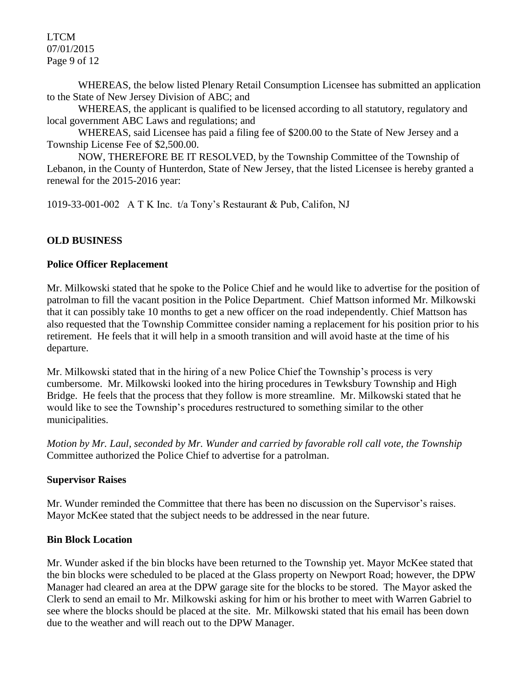LTCM 07/01/2015 Page 9 of 12

WHEREAS, the below listed Plenary Retail Consumption Licensee has submitted an application to the State of New Jersey Division of ABC; and

WHEREAS, the applicant is qualified to be licensed according to all statutory, regulatory and local government ABC Laws and regulations; and

WHEREAS, said Licensee has paid a filing fee of \$200.00 to the State of New Jersey and a Township License Fee of \$2,500.00.

NOW, THEREFORE BE IT RESOLVED, by the Township Committee of the Township of Lebanon, in the County of Hunterdon, State of New Jersey, that the listed Licensee is hereby granted a renewal for the 2015-2016 year:

1019-33-001-002 A T K Inc. t/a Tony's Restaurant & Pub, Califon, NJ

## **OLD BUSINESS**

#### **Police Officer Replacement**

Mr. Milkowski stated that he spoke to the Police Chief and he would like to advertise for the position of patrolman to fill the vacant position in the Police Department. Chief Mattson informed Mr. Milkowski that it can possibly take 10 months to get a new officer on the road independently. Chief Mattson has also requested that the Township Committee consider naming a replacement for his position prior to his retirement. He feels that it will help in a smooth transition and will avoid haste at the time of his departure.

Mr. Milkowski stated that in the hiring of a new Police Chief the Township's process is very cumbersome. Mr. Milkowski looked into the hiring procedures in Tewksbury Township and High Bridge. He feels that the process that they follow is more streamline. Mr. Milkowski stated that he would like to see the Township's procedures restructured to something similar to the other municipalities.

*Motion by Mr. Laul, seconded by Mr. Wunder and carried by favorable roll call vote, the Township* Committee authorized the Police Chief to advertise for a patrolman.

## **Supervisor Raises**

Mr. Wunder reminded the Committee that there has been no discussion on the Supervisor's raises. Mayor McKee stated that the subject needs to be addressed in the near future.

## **Bin Block Location**

Mr. Wunder asked if the bin blocks have been returned to the Township yet. Mayor McKee stated that the bin blocks were scheduled to be placed at the Glass property on Newport Road; however, the DPW Manager had cleared an area at the DPW garage site for the blocks to be stored. The Mayor asked the Clerk to send an email to Mr. Milkowski asking for him or his brother to meet with Warren Gabriel to see where the blocks should be placed at the site. Mr. Milkowski stated that his email has been down due to the weather and will reach out to the DPW Manager.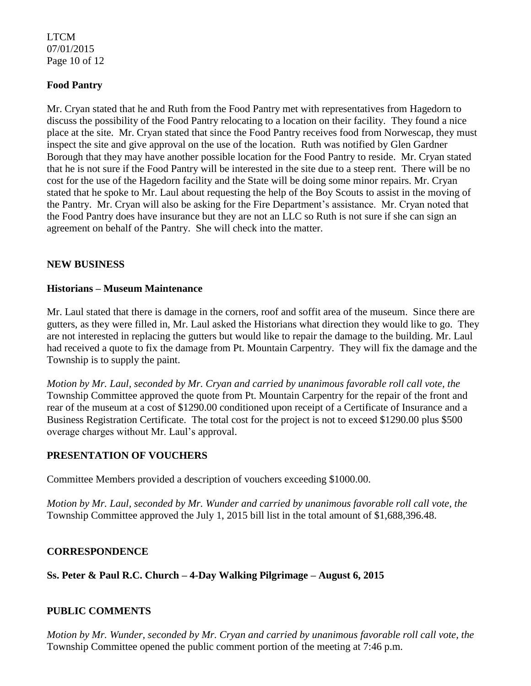## LTCM 07/01/2015 Page 10 of 12

## **Food Pantry**

Mr. Cryan stated that he and Ruth from the Food Pantry met with representatives from Hagedorn to discuss the possibility of the Food Pantry relocating to a location on their facility. They found a nice place at the site. Mr. Cryan stated that since the Food Pantry receives food from Norwescap, they must inspect the site and give approval on the use of the location. Ruth was notified by Glen Gardner Borough that they may have another possible location for the Food Pantry to reside. Mr. Cryan stated that he is not sure if the Food Pantry will be interested in the site due to a steep rent. There will be no cost for the use of the Hagedorn facility and the State will be doing some minor repairs. Mr. Cryan stated that he spoke to Mr. Laul about requesting the help of the Boy Scouts to assist in the moving of the Pantry. Mr. Cryan will also be asking for the Fire Department's assistance. Mr. Cryan noted that the Food Pantry does have insurance but they are not an LLC so Ruth is not sure if she can sign an agreement on behalf of the Pantry. She will check into the matter.

#### **NEW BUSINESS**

#### **Historians – Museum Maintenance**

Mr. Laul stated that there is damage in the corners, roof and soffit area of the museum. Since there are gutters, as they were filled in, Mr. Laul asked the Historians what direction they would like to go. They are not interested in replacing the gutters but would like to repair the damage to the building. Mr. Laul had received a quote to fix the damage from Pt. Mountain Carpentry. They will fix the damage and the Township is to supply the paint.

*Motion by Mr. Laul, seconded by Mr. Cryan and carried by unanimous favorable roll call vote, the* Township Committee approved the quote from Pt. Mountain Carpentry for the repair of the front and rear of the museum at a cost of \$1290.00 conditioned upon receipt of a Certificate of Insurance and a Business Registration Certificate. The total cost for the project is not to exceed \$1290.00 plus \$500 overage charges without Mr. Laul's approval.

#### **PRESENTATION OF VOUCHERS**

Committee Members provided a description of vouchers exceeding \$1000.00.

*Motion by Mr. Laul, seconded by Mr. Wunder and carried by unanimous favorable roll call vote, the* Township Committee approved the July 1, 2015 bill list in the total amount of \$1,688,396.48.

#### **CORRESPONDENCE**

# **Ss. Peter & Paul R.C. Church – 4-Day Walking Pilgrimage – August 6, 2015**

# **PUBLIC COMMENTS**

*Motion by Mr. Wunder, seconded by Mr. Cryan and carried by unanimous favorable roll call vote, the* Township Committee opened the public comment portion of the meeting at 7:46 p.m.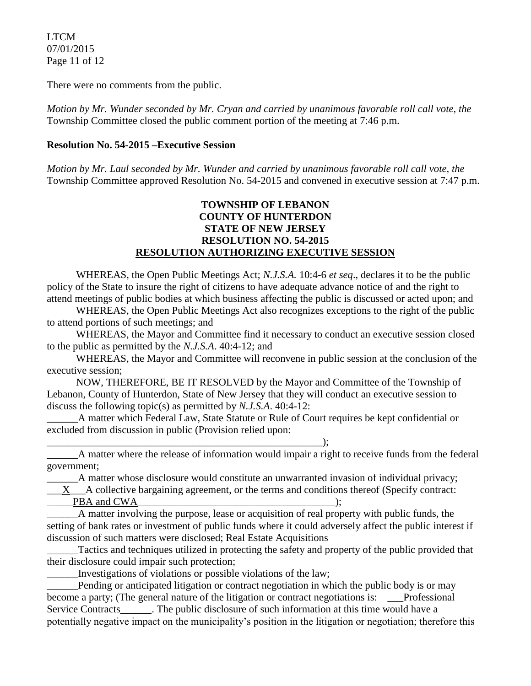LTCM 07/01/2015 Page 11 of 12

There were no comments from the public.

*Motion by Mr. Wunder seconded by Mr. Cryan and carried by unanimous favorable roll call vote, the* Township Committee closed the public comment portion of the meeting at 7:46 p.m.

## **Resolution No. 54-2015 –Executive Session**

*Motion by Mr. Laul seconded by Mr. Wunder and carried by unanimous favorable roll call vote, the* Township Committee approved Resolution No. 54-2015 and convened in executive session at 7:47 p.m.

## **TOWNSHIP OF LEBANON COUNTY OF HUNTERDON STATE OF NEW JERSEY RESOLUTION NO. 54-2015 RESOLUTION AUTHORIZING EXECUTIVE SESSION**

WHEREAS, the Open Public Meetings Act; *N.J.S.A.* 10:4-6 *et seq*., declares it to be the public policy of the State to insure the right of citizens to have adequate advance notice of and the right to attend meetings of public bodies at which business affecting the public is discussed or acted upon; and

WHEREAS, the Open Public Meetings Act also recognizes exceptions to the right of the public to attend portions of such meetings; and

WHEREAS, the Mayor and Committee find it necessary to conduct an executive session closed to the public as permitted by the *N.J.S.A*. 40:4-12; and

WHEREAS, the Mayor and Committee will reconvene in public session at the conclusion of the executive session;

NOW, THEREFORE, BE IT RESOLVED by the Mayor and Committee of the Township of Lebanon, County of Hunterdon, State of New Jersey that they will conduct an executive session to discuss the following topic(s) as permitted by *N.J.S.A*. 40:4-12:

A matter which Federal Law, State Statute or Rule of Court requires be kept confidential or excluded from discussion in public (Provision relied upon:

\_\_\_\_\_\_\_\_\_\_\_\_\_\_\_\_\_\_\_\_\_\_\_\_\_\_\_\_\_\_\_\_\_\_\_\_\_\_\_\_\_\_\_\_\_\_\_\_\_\_\_\_\_); A matter where the release of information would impair a right to receive funds from the federal government;

A matter whose disclosure would constitute an unwarranted invasion of individual privacy;

\_\_\_X\_\_\_A collective bargaining agreement, or the terms and conditions thereof (Specify contract:

PBA and CWA THE COMBINE CONSTRUCT  $\blacksquare$ 

\_\_\_\_\_\_A matter involving the purpose, lease or acquisition of real property with public funds, the setting of bank rates or investment of public funds where it could adversely affect the public interest if discussion of such matters were disclosed; Real Estate Acquisitions

\_\_\_\_\_\_Tactics and techniques utilized in protecting the safety and property of the public provided that their disclosure could impair such protection;

\_\_\_\_\_\_Investigations of violations or possible violations of the law;

Pending or anticipated litigation or contract negotiation in which the public body is or may become a party; (The general nature of the litigation or contract negotiations is: Professional Service Contracts \_\_\_\_\_\_. The public disclosure of such information at this time would have a potentially negative impact on the municipality's position in the litigation or negotiation; therefore this